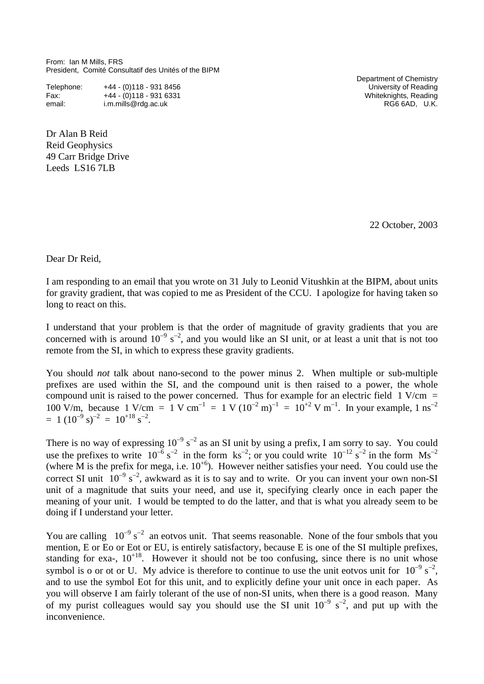From: Ian M Mills, FRS President, Comité Consultatif des Unités of the BIPM

| Telephone: | $+44 - (0)118 - 9318456$ |
|------------|--------------------------|
| Fax:       | +44 - (0)118 - 931 6331  |
| email:     | i.m.mills@rdg.ac.uk      |

Dr Alan B Reid Reid Geophysics 49 Carr Bridge Drive Leeds LS16 7LB

 Department of Chemistry University of Reading Whiteknights, Reading  $RG6 6AD$ , U.K.

22 October, 2003

Dear Dr Reid,

I am responding to an email that you wrote on 31 July to Leonid Vitushkin at the BIPM, about units for gravity gradient, that was copied to me as President of the CCU. I apologize for having taken so long to react on this.

I understand that your problem is that the order of magnitude of gravity gradients that you are concerned with is around  $10^{-9}$  s<sup>-2</sup>, and you would like an SI unit, or at least a unit that is not too remote from the SI, in which to express these gravity gradients.

You should *not* talk about nano-second to the power minus 2. When multiple or sub-multiple prefixes are used within the SI, and the compound unit is then raised to a power, the whole compound unit is raised to the power concerned. Thus for example for an electric field 1 V/cm  $=$ 100 V/m, because 1 V/cm = 1 V cm<sup>-1</sup> = 1 V (10<sup>-2</sup> m)<sup>-1</sup> = 10<sup>+2</sup> V m<sup>-1</sup>. In your example, 1 ns<sup>-2</sup>  $= 1 (10^{-9} \text{ s})^{-2} = 10^{+18} \text{ s}^{-2}.$ 

There is no way of expressing  $10^{-9}$  s<sup>-2</sup> as an SI unit by using a prefix, I am sorry to say. You could use the prefixes to write  $10^{-6} s^{-2}$  in the form ks<sup>-2</sup>; or you could write  $10^{-12} s^{-2}$  in the form Ms<sup>-2</sup> (where M is the prefix for mega, i.e.  $10^{+6}$ ). However neither satisfies your need. You could use the correct SI unit  $10^{-9}$  s<sup>-2</sup>, awkward as it is to say and to write. Or you can invent your own non-SI unit of a magnitude that suits your need, and use it, specifying clearly once in each paper the meaning of your unit. I would be tempted to do the latter, and that is what you already seem to be doing if I understand your letter.

You are calling  $10^{-9}$  s<sup>-2</sup> an eotvos unit. That seems reasonable. None of the four smbols that you mention, E or Eo or Eot or EU, is entirely satisfactory, because E is one of the SI multiple prefixes, standing for exa-,  $10^{+18}$ . However it should not be too confusing, since there is no unit whose symbol is o or ot or U. My advice is therefore to continue to use the unit eotvos unit for  $10^{-9}$  s<sup>-2</sup>, and to use the symbol Eot for this unit, and to explicitly define your unit once in each paper. As you will observe I am fairly tolerant of the use of non-SI units, when there is a good reason. Many of my purist colleagues would say you should use the SI unit  $10^{-9}$  s<sup>-2</sup>, and put up with the inconvenience.